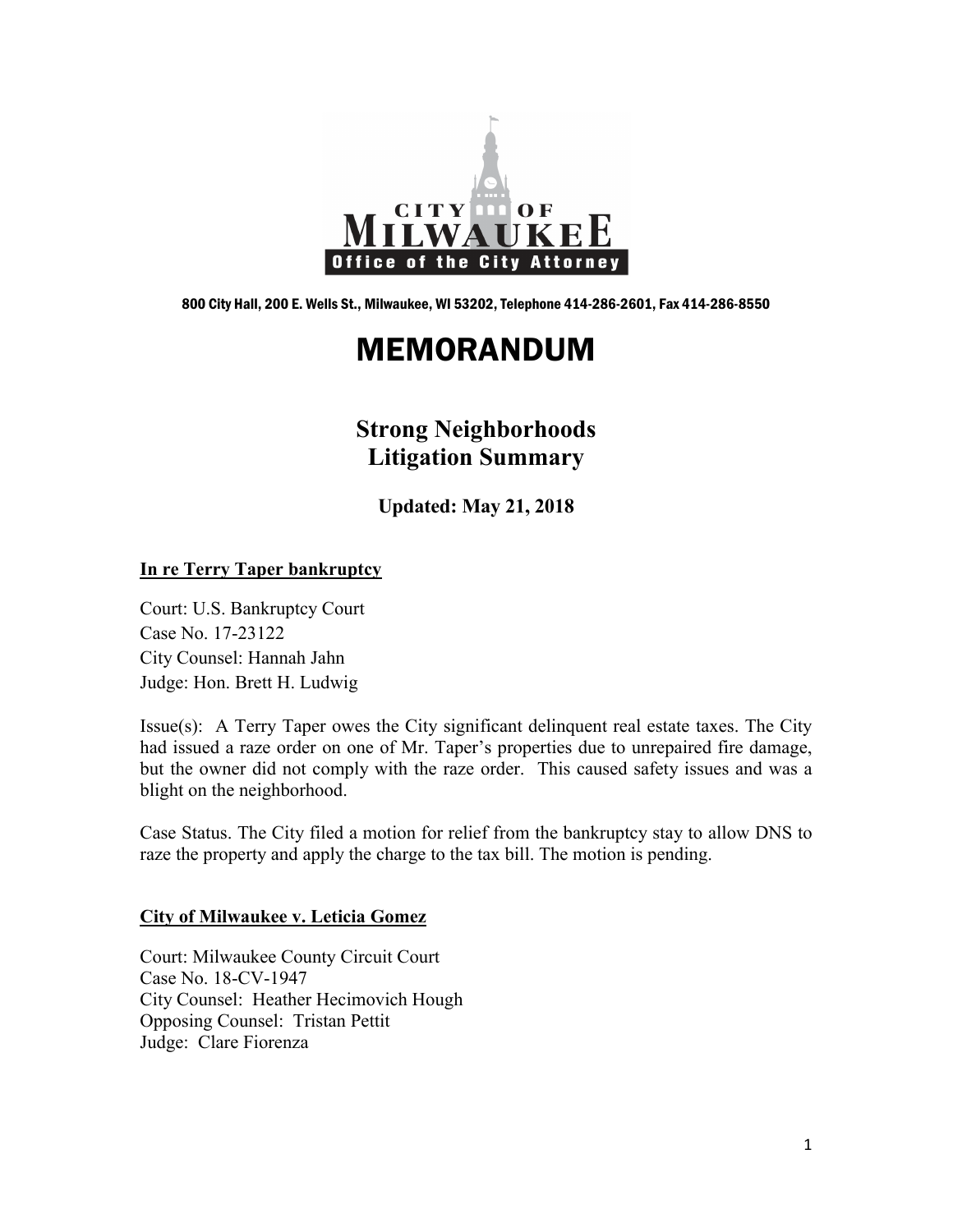

800 City Hall, 200 E. Wells St., Milwaukee, WI 53202, Telephone 414-286-2601, Fax 414-286-8550

# MEMORANDUM

# **Strong Neighborhoods Litigation Summary**

**Updated: May 21, 2018**

#### **In re Terry Taper bankruptcy**

Court: U.S. Bankruptcy Court Case No. 17-23122 City Counsel: Hannah Jahn Judge: Hon. Brett H. Ludwig

Issue(s): A Terry Taper owes the City significant delinquent real estate taxes. The City had issued a raze order on one of Mr. Taper's properties due to unrepaired fire damage, but the owner did not comply with the raze order. This caused safety issues and was a blight on the neighborhood.

Case Status. The City filed a motion for relief from the bankruptcy stay to allow DNS to raze the property and apply the charge to the tax bill. The motion is pending.

#### **City of Milwaukee v. Leticia Gomez**

Court: Milwaukee County Circuit Court Case No. 18-CV-1947 City Counsel: Heather Hecimovich Hough Opposing Counsel: Tristan Pettit Judge: Clare Fiorenza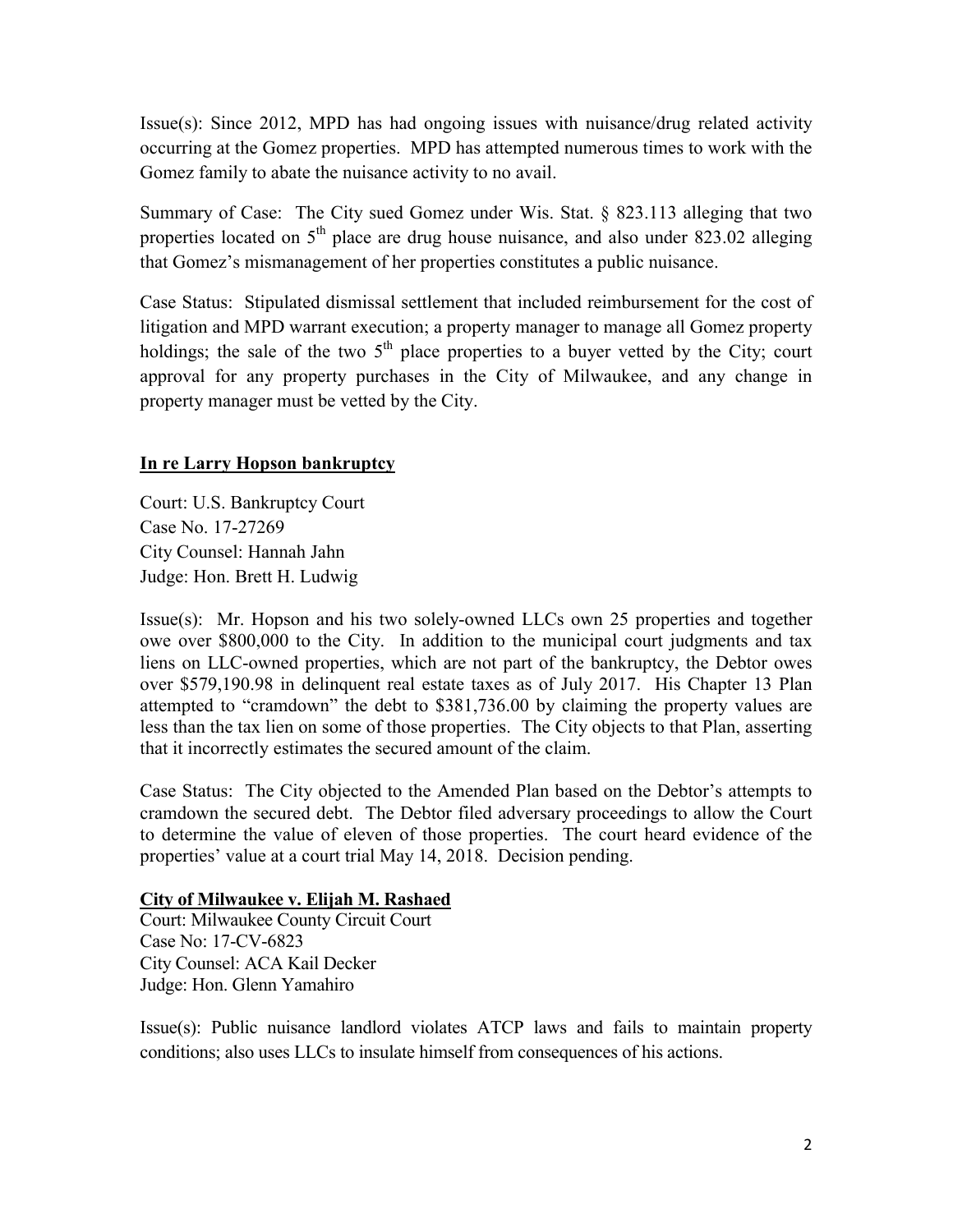Issue(s): Since 2012, MPD has had ongoing issues with nuisance/drug related activity occurring at the Gomez properties. MPD has attempted numerous times to work with the Gomez family to abate the nuisance activity to no avail.

Summary of Case: The City sued Gomez under Wis. Stat. § 823.113 alleging that two properties located on  $5<sup>th</sup>$  place are drug house nuisance, and also under 823.02 alleging that Gomez's mismanagement of her properties constitutes a public nuisance.

Case Status: Stipulated dismissal settlement that included reimbursement for the cost of litigation and MPD warrant execution; a property manager to manage all Gomez property holdings; the sale of the two  $5<sup>th</sup>$  place properties to a buyer vetted by the City; court approval for any property purchases in the City of Milwaukee, and any change in property manager must be vetted by the City.

# **In re Larry Hopson bankruptcy**

Court: U.S. Bankruptcy Court Case No. 17-27269 City Counsel: Hannah Jahn Judge: Hon. Brett H. Ludwig

Issue(s): Mr. Hopson and his two solely-owned LLCs own 25 properties and together owe over \$800,000 to the City. In addition to the municipal court judgments and tax liens on LLC-owned properties, which are not part of the bankruptcy, the Debtor owes over \$579,190.98 in delinquent real estate taxes as of July 2017. His Chapter 13 Plan attempted to "cramdown" the debt to \$381,736.00 by claiming the property values are less than the tax lien on some of those properties. The City objects to that Plan, asserting that it incorrectly estimates the secured amount of the claim.

Case Status: The City objected to the Amended Plan based on the Debtor's attempts to cramdown the secured debt. The Debtor filed adversary proceedings to allow the Court to determine the value of eleven of those properties. The court heard evidence of the properties' value at a court trial May 14, 2018. Decision pending.

# **City of Milwaukee v. Elijah M. Rashaed**

Court: Milwaukee County Circuit Court Case No: 17-CV-6823 City Counsel: ACA Kail Decker Judge: Hon. Glenn Yamahiro

Issue(s): Public nuisance landlord violates ATCP laws and fails to maintain property conditions; also uses LLCs to insulate himself from consequences of his actions.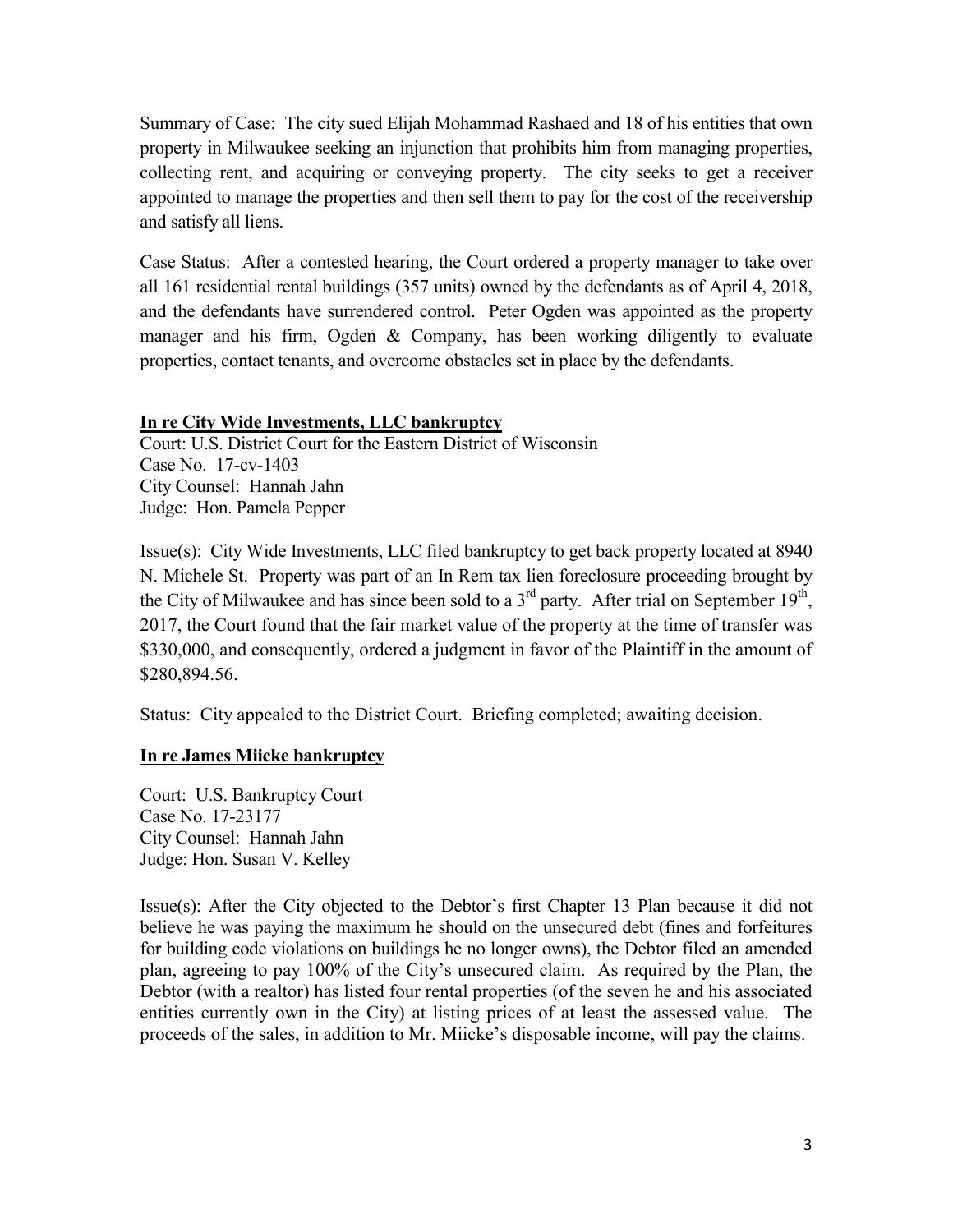Summary of Case: The city sued Elijah Mohammad Rashaed and 18 of his entities that own property in Milwaukee seeking an injunction that prohibits him from managing properties, collecting rent, and acquiring or conveying property. The city seeks to get a receiver appointed to manage the properties and then sell them to pay for the cost of the receivership and satisfy all liens.

Case Status: After a contested hearing, the Court ordered a property manager to take over all 161 residential rental buildings (357 units) owned by the defendants as of April 4, 2018, and the defendants have surrendered control. Peter Ogden was appointed as the property manager and his firm, Ogden & Company, has been working diligently to evaluate properties, contact tenants, and overcome obstacles set in place by the defendants.

#### **In re City Wide Investments, LLC bankruptcy**

Court: U.S. District Court for the Eastern District of Wisconsin Case No. 17-cv-1403 City Counsel: Hannah Jahn Judge: Hon. Pamela Pepper

Issue(s): City Wide Investments, LLC filed bankruptcy to get back property located at 8940 N. Michele St. Property was part of an In Rem tax lien foreclosure proceeding brought by the City of Milwaukee and has since been sold to a 3<sup>rd</sup> party. After trial on September 19<sup>th</sup>, 2017, the Court found that the fair market value of the property at the time of transfer was \$330,000, and consequently, ordered a judgment in favor of the Plaintiff in the amount of \$280,894.56.

Status: City appealed to the District Court. Briefing completed; awaiting decision.

#### **In re James Miicke bankruptcy**

Court: U.S. Bankruptcy Court Case No. 17-23177 City Counsel: Hannah Jahn Judge: Hon. Susan V. Kelley

Issue(s): After the City objected to the Debtor's first Chapter 13 Plan because it did not believe he was paying the maximum he should on the unsecured debt (fines and forfeitures for building code violations on buildings he no longer owns), the Debtor filed an amended plan, agreeing to pay 100% of the City's unsecured claim. As required by the Plan, the Debtor (with a realtor) has listed four rental properties (of the seven he and his associated entities currently own in the City) at listing prices of at least the assessed value. The proceeds of the sales, in addition to Mr. Miicke's disposable income, will pay the claims.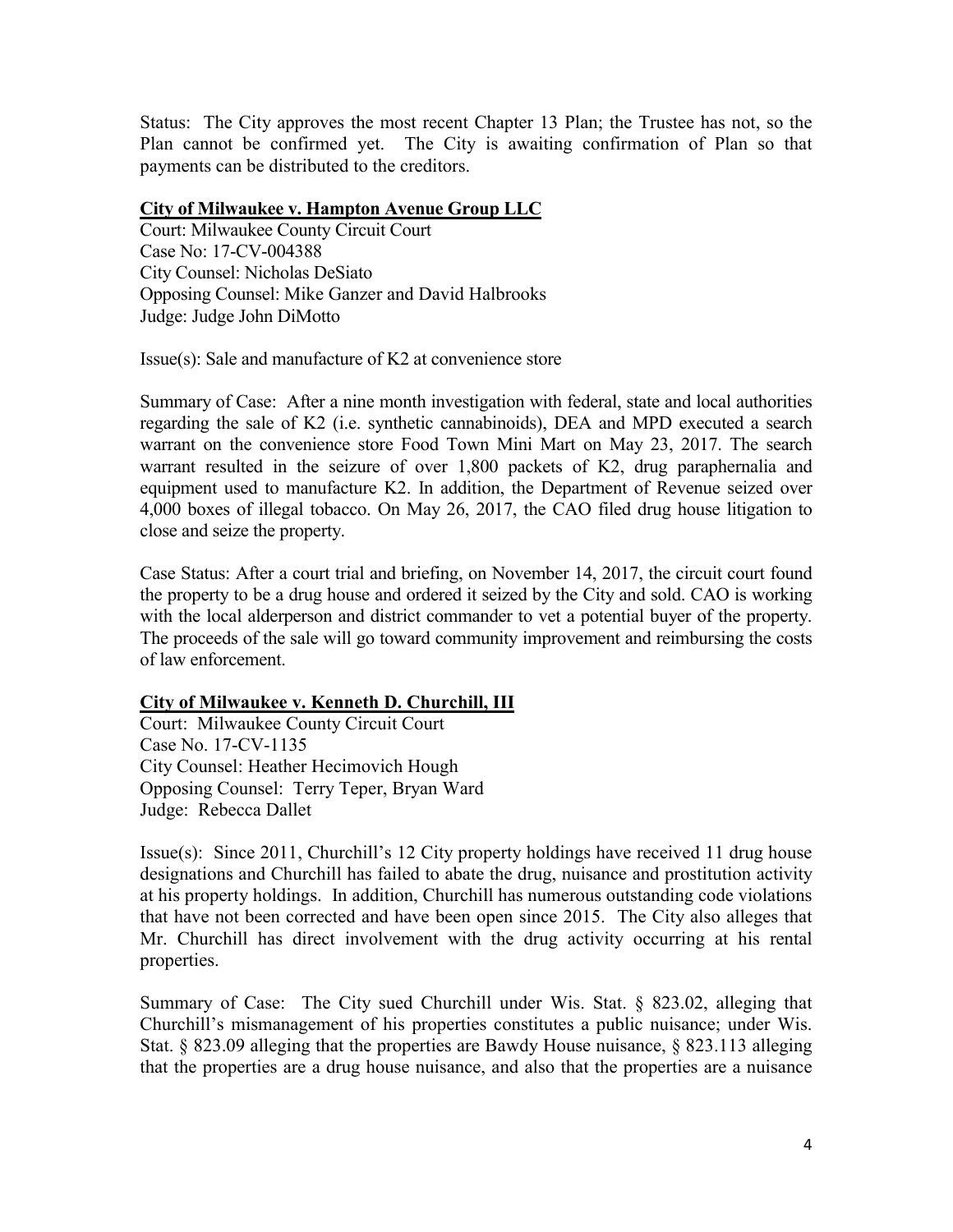Status: The City approves the most recent Chapter 13 Plan; the Trustee has not, so the Plan cannot be confirmed yet. The City is awaiting confirmation of Plan so that payments can be distributed to the creditors.

#### **City of Milwaukee v. Hampton Avenue Group LLC**

Court: Milwaukee County Circuit Court Case No: 17-CV-004388 City Counsel: Nicholas DeSiato Opposing Counsel: Mike Ganzer and David Halbrooks Judge: Judge John DiMotto

Issue(s): Sale and manufacture of K2 at convenience store

Summary of Case: After a nine month investigation with federal, state and local authorities regarding the sale of K2 (i.e. synthetic cannabinoids), DEA and MPD executed a search warrant on the convenience store Food Town Mini Mart on May 23, 2017. The search warrant resulted in the seizure of over 1,800 packets of K2, drug paraphernalia and equipment used to manufacture K2. In addition, the Department of Revenue seized over 4,000 boxes of illegal tobacco. On May 26, 2017, the CAO filed drug house litigation to close and seize the property.

Case Status: After a court trial and briefing, on November 14, 2017, the circuit court found the property to be a drug house and ordered it seized by the City and sold. CAO is working with the local alderperson and district commander to vet a potential buyer of the property. The proceeds of the sale will go toward community improvement and reimbursing the costs of law enforcement.

# **City of Milwaukee v. Kenneth D. Churchill, III**

Court: Milwaukee County Circuit Court Case No. 17-CV-1135 City Counsel: Heather Hecimovich Hough Opposing Counsel: Terry Teper, Bryan Ward Judge: Rebecca Dallet

Issue(s): Since 2011, Churchill's 12 City property holdings have received 11 drug house designations and Churchill has failed to abate the drug, nuisance and prostitution activity at his property holdings. In addition, Churchill has numerous outstanding code violations that have not been corrected and have been open since 2015. The City also alleges that Mr. Churchill has direct involvement with the drug activity occurring at his rental properties.

Summary of Case: The City sued Churchill under Wis. Stat. § 823.02, alleging that Churchill's mismanagement of his properties constitutes a public nuisance; under Wis. Stat. § 823.09 alleging that the properties are Bawdy House nuisance, § 823.113 alleging that the properties are a drug house nuisance, and also that the properties are a nuisance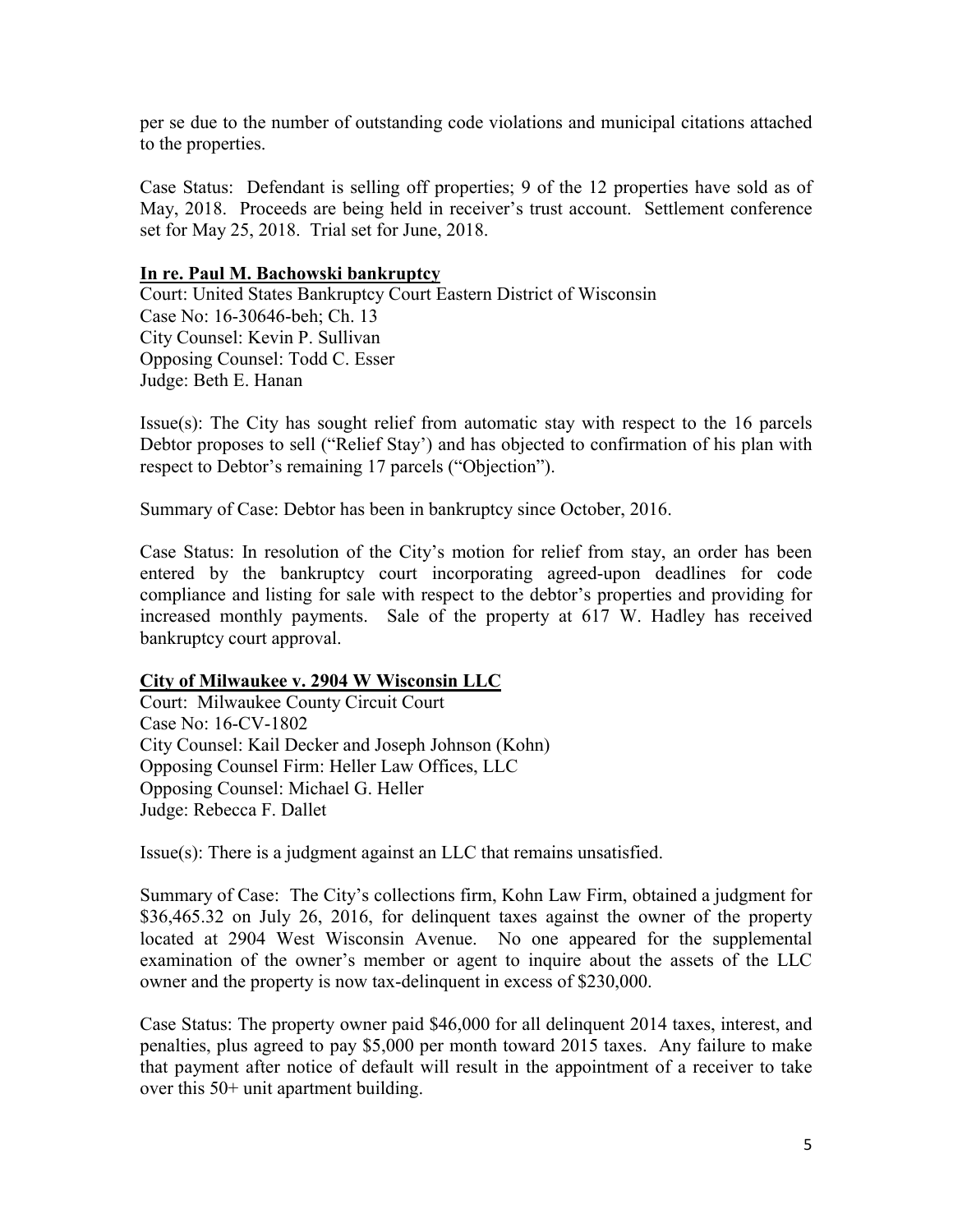per se due to the number of outstanding code violations and municipal citations attached to the properties.

Case Status: Defendant is selling off properties; 9 of the 12 properties have sold as of May, 2018. Proceeds are being held in receiver's trust account. Settlement conference set for May 25, 2018. Trial set for June, 2018.

#### **In re. Paul M. Bachowski bankruptcy**

Court: United States Bankruptcy Court Eastern District of Wisconsin Case No: 16-30646-beh; Ch. 13 City Counsel: Kevin P. Sullivan Opposing Counsel: Todd C. Esser Judge: Beth E. Hanan

Issue(s): The City has sought relief from automatic stay with respect to the 16 parcels Debtor proposes to sell ("Relief Stay') and has objected to confirmation of his plan with respect to Debtor's remaining 17 parcels ("Objection").

Summary of Case: Debtor has been in bankruptcy since October, 2016.

Case Status: In resolution of the City's motion for relief from stay, an order has been entered by the bankruptcy court incorporating agreed-upon deadlines for code compliance and listing for sale with respect to the debtor's properties and providing for increased monthly payments. Sale of the property at 617 W. Hadley has received bankruptcy court approval.

#### **City of Milwaukee v. 2904 W Wisconsin LLC**

Court: Milwaukee County Circuit Court Case No: 16-CV-1802 City Counsel: Kail Decker and Joseph Johnson (Kohn) Opposing Counsel Firm: Heller Law Offices, LLC Opposing Counsel: Michael G. Heller Judge: Rebecca F. Dallet

Issue(s): There is a judgment against an LLC that remains unsatisfied.

Summary of Case: The City's collections firm, Kohn Law Firm, obtained a judgment for \$36,465.32 on July 26, 2016, for delinquent taxes against the owner of the property located at 2904 West Wisconsin Avenue. No one appeared for the supplemental examination of the owner's member or agent to inquire about the assets of the LLC owner and the property is now tax-delinquent in excess of \$230,000.

Case Status: The property owner paid \$46,000 for all delinquent 2014 taxes, interest, and penalties, plus agreed to pay \$5,000 per month toward 2015 taxes. Any failure to make that payment after notice of default will result in the appointment of a receiver to take over this 50+ unit apartment building.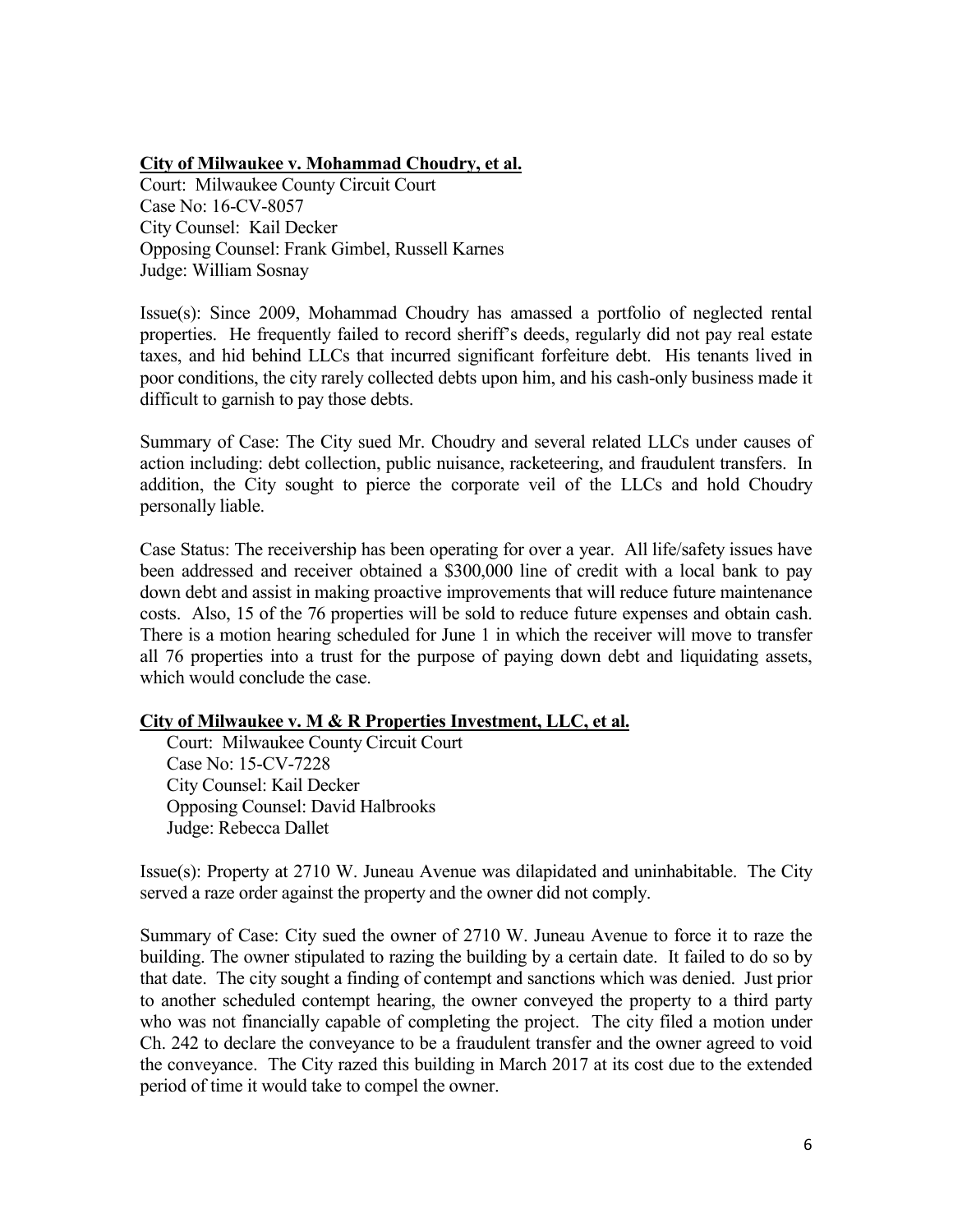#### **City of Milwaukee v. Mohammad Choudry, et al.**

Court: Milwaukee County Circuit Court Case No: 16-CV-8057 City Counsel: Kail Decker Opposing Counsel: Frank Gimbel, Russell Karnes Judge: William Sosnay

Issue(s): Since 2009, Mohammad Choudry has amassed a portfolio of neglected rental properties. He frequently failed to record sheriff's deeds, regularly did not pay real estate taxes, and hid behind LLCs that incurred significant forfeiture debt. His tenants lived in poor conditions, the city rarely collected debts upon him, and his cash-only business made it difficult to garnish to pay those debts.

Summary of Case: The City sued Mr. Choudry and several related LLCs under causes of action including: debt collection, public nuisance, racketeering, and fraudulent transfers. In addition, the City sought to pierce the corporate veil of the LLCs and hold Choudry personally liable.

Case Status: The receivership has been operating for over a year. All life/safety issues have been addressed and receiver obtained a \$300,000 line of credit with a local bank to pay down debt and assist in making proactive improvements that will reduce future maintenance costs. Also, 15 of the 76 properties will be sold to reduce future expenses and obtain cash. There is a motion hearing scheduled for June 1 in which the receiver will move to transfer all 76 properties into a trust for the purpose of paying down debt and liquidating assets, which would conclude the case.

# **City of Milwaukee v. M & R Properties Investment, LLC, et al.**

 Court: Milwaukee County Circuit Court Case No: 15-CV-7228 City Counsel: Kail Decker Opposing Counsel: David Halbrooks Judge: Rebecca Dallet

Issue(s): Property at 2710 W. Juneau Avenue was dilapidated and uninhabitable. The City served a raze order against the property and the owner did not comply.

Summary of Case: City sued the owner of 2710 W. Juneau Avenue to force it to raze the building. The owner stipulated to razing the building by a certain date. It failed to do so by that date. The city sought a finding of contempt and sanctions which was denied. Just prior to another scheduled contempt hearing, the owner conveyed the property to a third party who was not financially capable of completing the project. The city filed a motion under Ch. 242 to declare the conveyance to be a fraudulent transfer and the owner agreed to void the conveyance. The City razed this building in March 2017 at its cost due to the extended period of time it would take to compel the owner.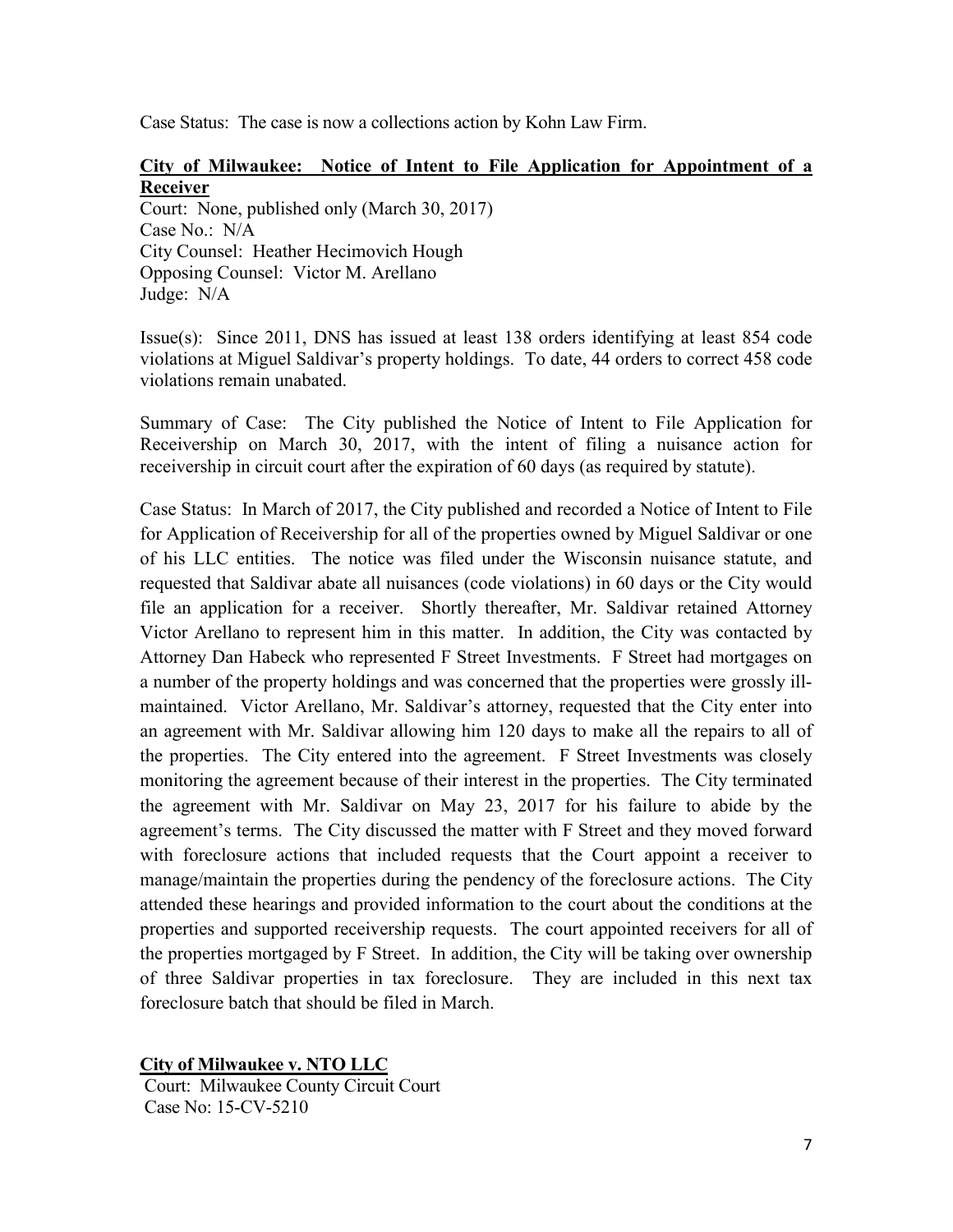Case Status: The case is now a collections action by Kohn Law Firm.

# **City of Milwaukee: Notice of Intent to File Application for Appointment of a Receiver**

Court: None, published only (March 30, 2017) Case No.: N/A City Counsel: Heather Hecimovich Hough Opposing Counsel: Victor M. Arellano Judge: N/A

Issue(s): Since 2011, DNS has issued at least 138 orders identifying at least 854 code violations at Miguel Saldivar's property holdings. To date, 44 orders to correct 458 code violations remain unabated.

Summary of Case: The City published the Notice of Intent to File Application for Receivership on March 30, 2017, with the intent of filing a nuisance action for receivership in circuit court after the expiration of 60 days (as required by statute).

Case Status: In March of 2017, the City published and recorded a Notice of Intent to File for Application of Receivership for all of the properties owned by Miguel Saldivar or one of his LLC entities. The notice was filed under the Wisconsin nuisance statute, and requested that Saldivar abate all nuisances (code violations) in 60 days or the City would file an application for a receiver. Shortly thereafter, Mr. Saldivar retained Attorney Victor Arellano to represent him in this matter. In addition, the City was contacted by Attorney Dan Habeck who represented F Street Investments. F Street had mortgages on a number of the property holdings and was concerned that the properties were grossly illmaintained. Victor Arellano, Mr. Saldivar's attorney, requested that the City enter into an agreement with Mr. Saldivar allowing him 120 days to make all the repairs to all of the properties. The City entered into the agreement. F Street Investments was closely monitoring the agreement because of their interest in the properties. The City terminated the agreement with Mr. Saldivar on May 23, 2017 for his failure to abide by the agreement's terms. The City discussed the matter with F Street and they moved forward with foreclosure actions that included requests that the Court appoint a receiver to manage/maintain the properties during the pendency of the foreclosure actions. The City attended these hearings and provided information to the court about the conditions at the properties and supported receivership requests. The court appointed receivers for all of the properties mortgaged by F Street. In addition, the City will be taking over ownership of three Saldivar properties in tax foreclosure. They are included in this next tax foreclosure batch that should be filed in March.

**City of Milwaukee v. NTO LLC**

Court: Milwaukee County Circuit Court Case No: 15-CV-5210